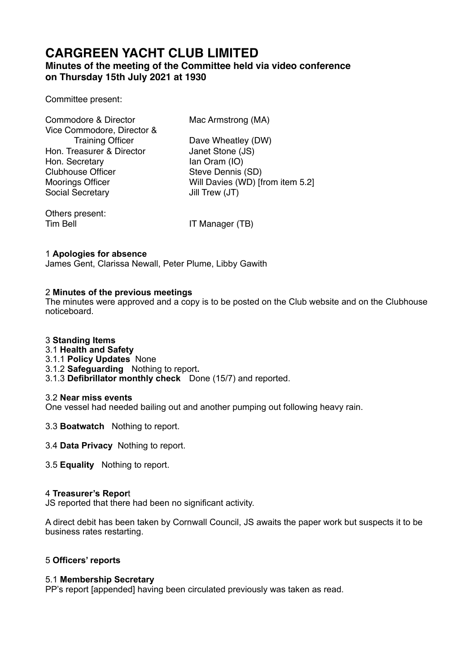# **CARGREEN YACHT CLUB LIMITED**

## **Minutes of the meeting of the Committee held via video conference on Thursday 15th July 2021 at 1930**

### Committee present:

| Commodore & Director       | Mac Armstrong (MA)               |
|----------------------------|----------------------------------|
| Vice Commodore, Director & |                                  |
| <b>Training Officer</b>    | Dave Wheatley (DW)               |
| Hon. Treasurer & Director  | Janet Stone (JS)                 |
| Hon. Secretary             | lan Oram (IO)                    |
| <b>Clubhouse Officer</b>   | Steve Dennis (SD)                |
| <b>Moorings Officer</b>    | Will Davies (WD) [from item 5.2] |
| Social Secretary           | Jill Trew (JT)                   |
| Others present:            |                                  |

Tim Bell **IT Manager (TB)** 

### 1 **Apologies for absence**

James Gent, Clarissa Newall, Peter Plume, Libby Gawith

#### 2 **Minutes of the previous meetings**

The minutes were approved and a copy is to be posted on the Club website and on the Clubhouse noticeboard.

#### 3 **Standing Items**

- 3.1 **Health and Safety**
- 3.1.1 **Policy Updates** None
- 3.1.2 **Safeguarding** Nothing to report**.**
- 3.1.3 **Defibrillator monthly check** Done (15/7) and reported.

#### 3.2 **Near miss events**

One vessel had needed bailing out and another pumping out following heavy rain.

- 3.3 **Boatwatch** Nothing to report.
- 3.4 **Data Privacy** Nothing to report.
- 3.5 **Equality** Nothing to report.

#### 4 **Treasurer's Repor**t

JS reported that there had been no significant activity.

A direct debit has been taken by Cornwall Council, JS awaits the paper work but suspects it to be business rates restarting.

#### 5 **Officers' reports**

#### 5.1 **Membership Secretary**

PP's report [appended] having been circulated previously was taken as read.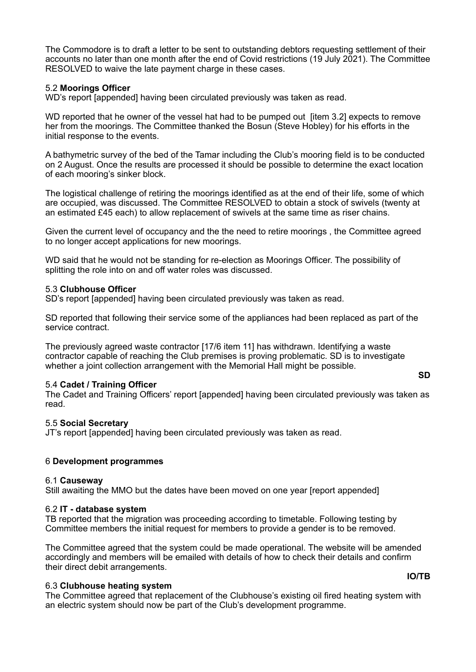The Commodore is to draft a letter to be sent to outstanding debtors requesting settlement of their accounts no later than one month after the end of Covid restrictions (19 July 2021). The Committee RESOLVED to waive the late payment charge in these cases.

#### 5.2 **Moorings Officer**

WD's report [appended] having been circulated previously was taken as read.

WD reported that he owner of the vessel hat had to be pumped out [item 3.2] expects to remove her from the moorings. The Committee thanked the Bosun (Steve Hobley) for his efforts in the initial response to the events.

A bathymetric survey of the bed of the Tamar including the Club's mooring field is to be conducted on 2 August. Once the results are processed it should be possible to determine the exact location of each mooring's sinker block.

The logistical challenge of retiring the moorings identified as at the end of their life, some of which are occupied, was discussed. The Committee RESOLVED to obtain a stock of swivels (twenty at an estimated £45 each) to allow replacement of swivels at the same time as riser chains.

Given the current level of occupancy and the the need to retire moorings , the Committee agreed to no longer accept applications for new moorings.

WD said that he would not be standing for re-election as Moorings Officer. The possibility of splitting the role into on and off water roles was discussed.

#### 5.3 **Clubhouse Officer**

SD's report [appended] having been circulated previously was taken as read.

SD reported that following their service some of the appliances had been replaced as part of the service contract.

The previously agreed waste contractor [17/6 item 11] has withdrawn. Identifying a waste contractor capable of reaching the Club premises is proving problematic. SD is to investigate whether a joint collection arrangement with the Memorial Hall might be possible.

#### 5.4 **Cadet / Training Officer**

The Cadet and Training Officers' report [appended] having been circulated previously was taken as read.

#### 5.5 **Social Secretary**

JT's report [appended] having been circulated previously was taken as read.

#### 6 **Development programmes**

#### 6.1 **Causeway**

Still awaiting the MMO but the dates have been moved on one year [report appended]

#### 6.2 **IT - database system**

TB reported that the migration was proceeding according to timetable. Following testing by Committee members the initial request for members to provide a gender is to be removed.

The Committee agreed that the system could be made operational. The website will be amended accordingly and members will be emailed with details of how to check their details and confirm their direct debit arrangements.

#### 6.3 **Clubhouse heating system**

The Committee agreed that replacement of the Clubhouse's existing oil fired heating system with an electric system should now be part of the Club's development programme.

**SD**

#### **IO/TB**